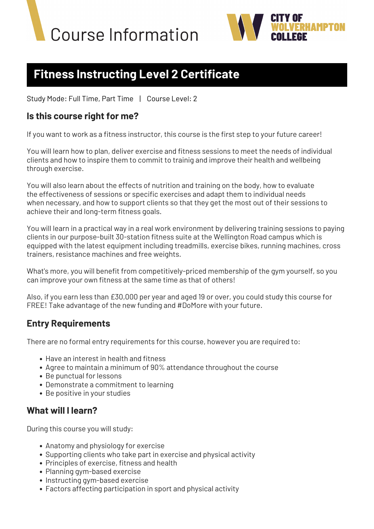



# **Fitness Instructing Level 2 Certificate**

Study Mode: Full Time, Part Time | Course Level: 2

## **Is this course right for me?**

If you want to work as a fitness instructor, this course is the first step to your future career!

You will learn how to plan, deliver exercise and fitness sessions to meet the needs of individual clients and how to inspire them to commit to trainig and improve their health and wellbeing through exercise.

You will also learn about the effects of nutrition and training on the body, how to evaluate the effectiveness of sessions or specific exercises and adapt them to individual needs when necessary, and how to support clients so that they get the most out of their sessions to achieve their and long-term fitness goals.

You will learn in a practical way in a real work environment by delivering training sessions to paying clients in our purpose-built 30-station fitness suite at the Wellington Road campus which is equipped with the latest equipment including treadmills, exercise bikes, running machines, cross trainers, resistance machines and free weights.

What's more, you will benefit from competitively-priced membership of the gym yourself, so you can improve your own fitness at the same time as that of others!

Also, if you earn less than £30,000 per year and aged 19 or over, you could study this course for FREE! Take advantage of the new funding and #DoMore with your future.

# **Entry Requirements**

There are no formal entry requirements for this course, however you are required to:

- Have an interest in health and fitness
- Agree to maintain a minimum of 90% attendance throughout the course
- Be punctual for lessons
- Demonstrate a commitment to learning
- Be positive in your studies

# **What will I learn?**

During this course you will study:

- Anatomy and physiology for exercise
- Supporting clients who take part in exercise and physical activity
- Principles of exercise, fitness and health
- Planning gym-based exercise
- Instructing gym-based exercise
- Factors affecting participation in sport and physical activity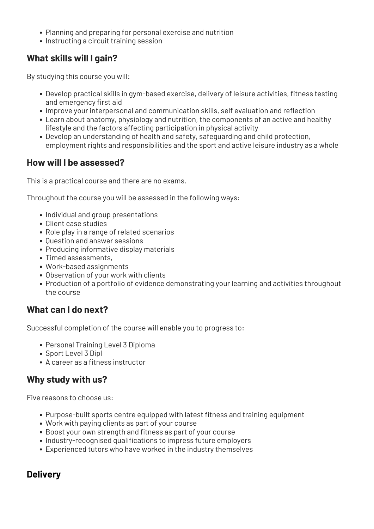- Planning and preparing for personal exercise and nutrition
- Instructing a circuit training session

# **What skills will I gain?**

By studying this course you will:

- Develop practical skills in gym-based exercise, delivery of leisure activities, fitness testing and emergency first aid
- Improve your interpersonal and communication skills, self evaluation and reflection
- Learn about anatomy, physiology and nutrition, the components of an active and healthy lifestyle and the factors affecting participation in physical activity
- Develop an understanding of health and safety, safeguarding and child protection, employment rights and responsibilities and the sport and active leisure industry as a whole

# **How will I be assessed?**

This is a practical course and there are no exams.

Throughout the course you will be assessed in the following ways:

- Individual and group presentations
- Client case studies
- Role play in a range of related scenarios
- Ouestion and answer sessions
- Producing informative display materials
- Timed assessments,
- Work-based assignments
- Observation of your work with clients
- Production of a portfolio of evidence demonstrating your learning and activities throughout the course

### **What can I do next?**

Successful completion of the course will enable you to progress to:

- Personal Training Level 3 Diploma
- Sport Level 3 Dipl
- A career as a fitness instructor

# **Why study with us?**

Five reasons to choose us:

- Purpose-built sports centre equipped with latest fitness and training equipment
- Work with paying clients as part of your course
- Boost your own strength and fitness as part of your course
- Industry-recognised qualifications to impress future employers
- Experienced tutors who have worked in the industry themselves

### **Delivery**